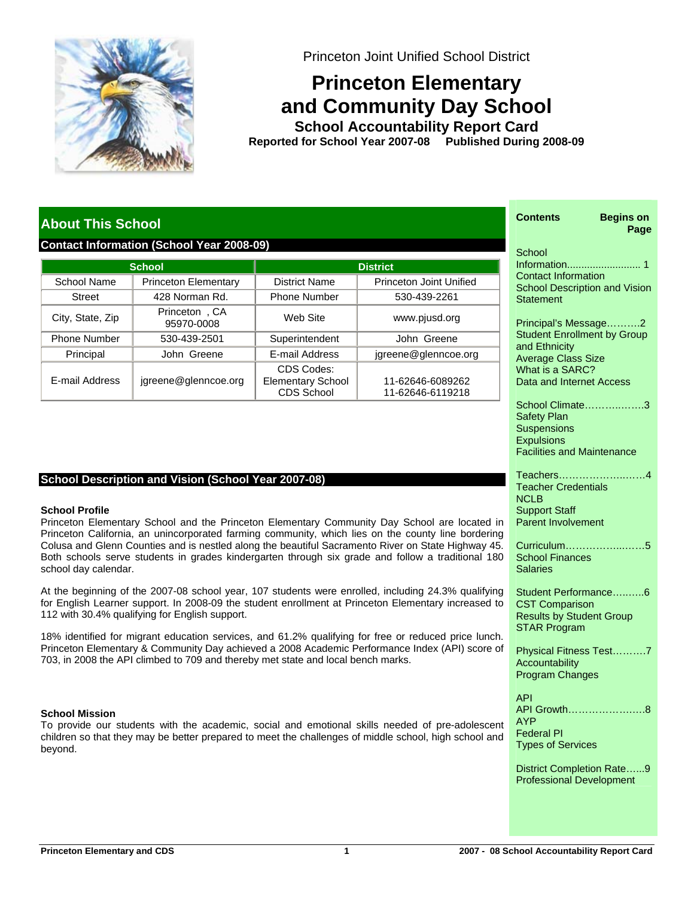

Princeton Joint Unified School District

# **Princeton Elementary and Community Day School**

**School Accountability Report Card School Year 2007-08 Published During 2008-09 Reported for**

# **About This School**

# **Contact Information (School Year 2008-09)**

|                     | <b>School</b>               | <b>District</b>                                             |                                      |  |  |  |
|---------------------|-----------------------------|-------------------------------------------------------------|--------------------------------------|--|--|--|
| School Name         | <b>Princeton Elementary</b> | District Name                                               | <b>Princeton Joint Unified</b>       |  |  |  |
| <b>Street</b>       | 428 Norman Rd.              | <b>Phone Number</b>                                         | 530-439-2261                         |  |  |  |
| City, State, Zip    | Princeton, CA<br>95970-0008 | Web Site                                                    | www.pjusd.org                        |  |  |  |
| <b>Phone Number</b> | 530-439-2501                |                                                             | John Greene                          |  |  |  |
| Principal           | John Greene                 | E-mail Address                                              | jgreene@glenncoe.org                 |  |  |  |
| E-mail Address      | jgreene@glenncoe.org        | CDS Codes:<br><b>Elementary School</b><br><b>CDS School</b> | 11-62646-6089262<br>11-62646-6119218 |  |  |  |

# **School Description and Vision (School Year 2007-08)**

#### **School Profile**

Princeton Elementary School and the Princeton Elementary Community Day School are located in Princeton California, an unincorporated farming community, which lies on the county line bordering Colusa and Glenn Counties and is nestled along the beautiful Sacramento River on State Highway 45. Both schools serve students in grades kindergarten through six grade and follow a traditional 180 school day calendar.

At the beginning of the 2007-08 school year, 107 students were enrolled, including 24.3% qualifying for English Learner support. In 2008-09 the student enrollment at Princeton Elementary increased to 112 with 30.4% qualifying for English support.

18% identified for migrant education services, and 61.2% qualifying for free or reduced price lunch. Princeton Elementary & Community Day achieved a 2008 Academic Performance Index (API) score of 703, in 2008 the API climbed to 709 and thereby met state and local bench marks.

#### **School Mission**

To provide our students with the academic, social and emotional skills needed of pre-adolescent children so that they may be better prepared to meet the challenges of middle school, high school and beyond.

|             | <b>Begins on</b><br>Contents<br>Page                                                                                                                                 |
|-------------|----------------------------------------------------------------------------------------------------------------------------------------------------------------------|
|             | School<br><b>Contact Information</b><br><b>School Description and Vision</b><br>Statement                                                                            |
|             | Principal's Message<br>. 2<br><b>Student Enrollment by Group</b><br>and Ethnicity<br><b>Average Class Size</b><br>What is a SARC?<br><b>Data and Internet Access</b> |
|             | School Climate3<br><b>Safety Plan</b><br><b>Suspensions</b><br><b>Expulsions</b><br><b>Facilities and Maintenance</b>                                                |
| ١           | Teachers4<br><b>Teacher Credentials</b><br><b>NCLB</b><br><b>Support Staff</b><br><b>Parent Involvement</b>                                                          |
| J<br>.<br>) | Curriculum5<br><b>School Finances</b><br>Salaries                                                                                                                    |
| J<br>J      | Student Performance6<br><b>CST Comparison</b><br><b>Results by Student Group</b><br><b>STAR Program</b>                                                              |
| f           | Physical Fitness Test7<br>Accountability<br><b>Program Changes</b>                                                                                                   |
| t<br>ł      | <b>API</b><br>API Growth8<br><b>AYP</b><br><b>Federal PI</b><br><b>Types of Services</b>                                                                             |
|             | District Completion Rate9<br><b>Professional Development</b>                                                                                                         |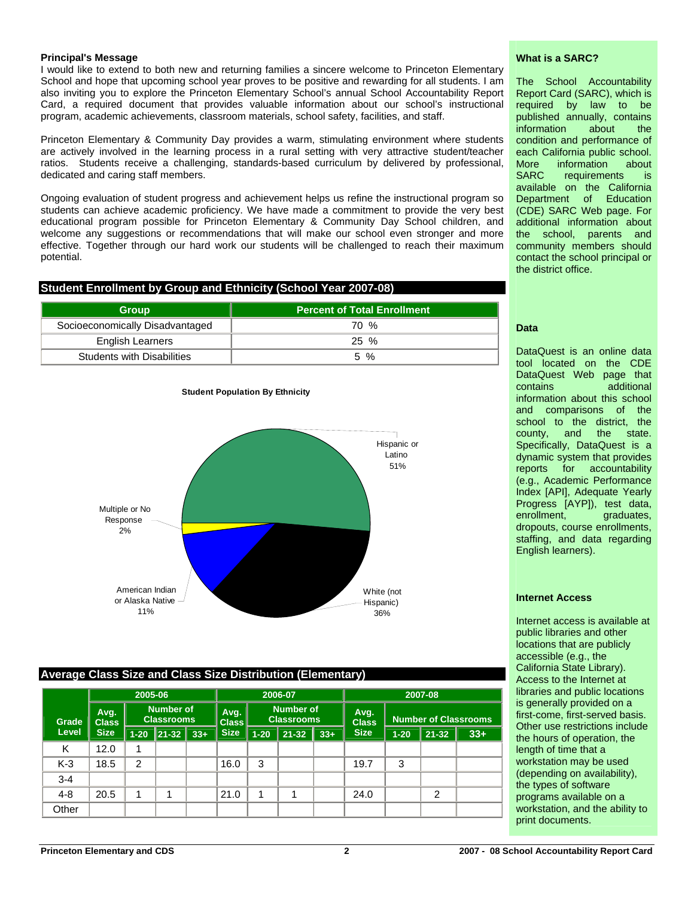#### **Principal's Message**

I would like to extend to both new and returning families a sincere welcome to Princeton Elementary School and hope that upcoming school year proves to be positive and rewarding for all students. I am also inviting you to explore the Princeton Elementary School's annual School Accountability Report Card, a required document that provides valuable information about our school's instructional program, academic achievements, classroom materials, school safety, facilities, and staff.

Princeton Elementary & Community Day provides a warm, stimulating environment where students are actively involved in the learning process in a rural setting with very attractive student/teacher ratios. Students receive a challenging, standards-based curriculum by delivered by professional, dedicated and caring staff members.

Ongoing evaluation of student progress and achievement helps us refine the instructional program so students can achieve academic proficiency. We have made a commitment to provide the very best educational program possible for Princeton Elementary & Community Day School children, and welcome any suggestions or recommendations that will make our school even stronger and more effective. Together through our hard work our students will be challenged to reach their maximum potential.

# **Student Enrollment by Group and Ethnicity (School Year 2007-08)**

| <b>Group</b>                      | <b>Percent of Total Enrollment</b> |
|-----------------------------------|------------------------------------|
| Socioeconomically Disadvantaged   | 70 %                               |
| <b>English Learners</b>           | $25\%$                             |
| <b>Students with Disabilities</b> | 5 %                                |

**Student Population By Ethnicity**



## **Average Class Size and Class Size Distribution (Elementary)**

|         | 2005-06              |                                       |       | 2006-07              |                                       |          | 2007-08              |                             |             |          |                |       |
|---------|----------------------|---------------------------------------|-------|----------------------|---------------------------------------|----------|----------------------|-----------------------------|-------------|----------|----------------|-------|
| Grade   | Avg.<br><b>Class</b> | <b>Number of</b><br><b>Classrooms</b> |       | Avg.<br><b>Class</b> | <b>Number of</b><br><b>Classrooms</b> |          | Avg.<br><b>Class</b> | <b>Number of Classrooms</b> |             |          |                |       |
| Level   | <b>Size</b>          | $1 - 20$                              | 21-32 | $33+$                | <b>Size</b>                           | $1 - 20$ | $21 - 32$            | $33+$                       | <b>Size</b> | $1 - 20$ | $21 - 32$      | $33+$ |
| Κ       | 12.0                 | 4                                     |       |                      |                                       |          |                      |                             |             |          |                |       |
| $K-3$   | 18.5                 | $\overline{2}$                        |       |                      | 16.0                                  | 3        |                      |                             | 19.7        | 3        |                |       |
| $3 - 4$ |                      |                                       |       |                      |                                       |          |                      |                             |             |          |                |       |
| $4 - 8$ | 20.5                 | 4                                     |       |                      | 21.0                                  | 1        |                      |                             | 24.0        |          | $\overline{2}$ |       |
| Other   |                      |                                       |       |                      |                                       |          |                      |                             |             |          |                |       |

#### **What is a SARC?**

The School Accountability Report Card (SARC), which is required by law to be published annually, contains information about the condition and performance of each California public school. More information about SARC requirements is available on the California Department of Education (CDE) SARC Web page. For additional information about the school, parents and community members should contact the school principal or the district office.

#### **Data**

DataQuest is an online data tool located on the CDE DataQuest Web page that contains additional information about this school and comparisons of the school to the district, the county, and the state. Specifically, DataQuest is a dynamic system that provides reports for accountability (e.g., Academic Performance Index [API], Adequate Yearly Progress [AYP]), test data,<br>enrollment, graduates, graduates, dropouts, course enrollments, staffing, and data regarding English learners).

#### **Internet Access**

Internet access is available at public libraries and other locations that are publicly accessible (e.g., the California State Library). Access to the Internet at libraries and public locations is generally provided on a first-come, first-served basis. Other use restrictions include the hours of operation, the length of time that a workstation may be used (depending on availability), the types of software programs available on a workstation, and the ability to print documents.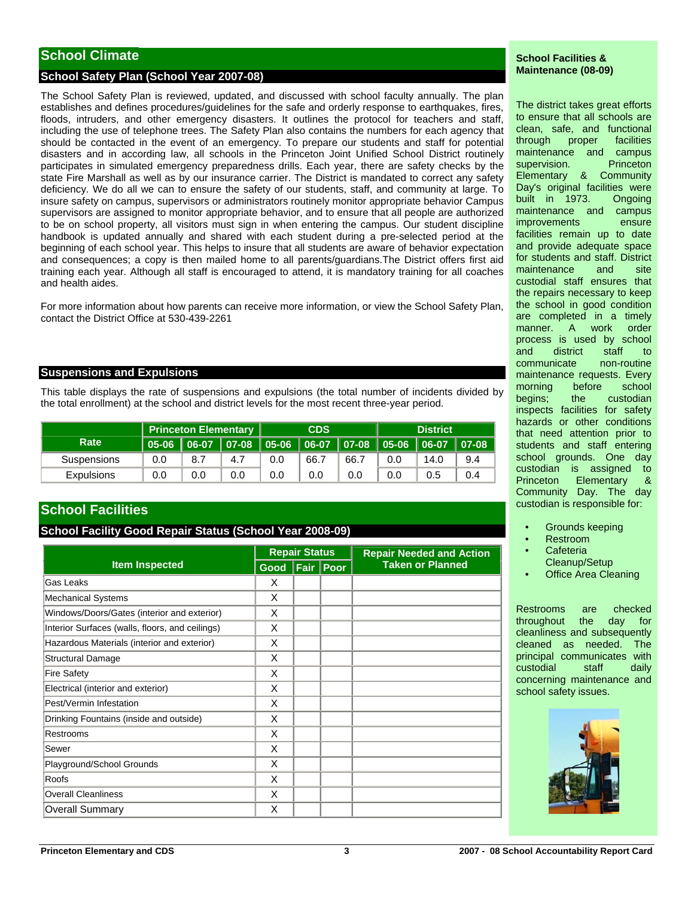# **School Climate**

## **School Safety Plan (School Year 2007-08)**

The School Safety Plan is reviewed, updated, and discussed with school faculty annually. The plan establishes and defines procedures/guidelines for the safe and orderly response to earthquakes, fires, floods, intruders, and other emergency disasters. It outlines the protocol for teachers and staff, including the use of telephone trees. The Safety Plan also contains the numbers for each agency that should be contacted in the event of an emergency. To prepare our students and staff for potential disasters and in according law, all schools in the Princeton Joint Unified School District routinely participates in simulated emergency preparedness drills. Each year, there are safety checks by the state Fire Marshall as well as by our insurance carrier. The District is mandated to correct any safety deficiency. We do all we can to ensure the safety of our students, staff, and community at large. To insure safety on campus, supervisors or administrators routinely monitor appropriate behavior Campus supervisors are assigned to monitor appropriate behavior, and to ensure that all people are authorized to be on school property, all visitors must sign in when entering the campus. Our student discipline handbook is updated annually and shared with each student during a pre-selected period at the beginning of each school year. This helps to insure that all students are aware of behavior expectation and consequences; a copy is then mailed home to all parents/guardians.The District offers first aid training each year. Although all staff is encouraged to attend, it is mandatory training for all coaches and health aides.

For more information about how parents can receive more information, or view the School Safety Plan, contact the District Office at 530-439-2261

#### **Suspensions and Expulsions**

This table displays the rate of suspensions and expulsions (the total number of incidents divided by the total enrollment) at the school and district levels for the most recent three-year period.

|                   |     | Princeton Elementary |     | <b>CDS</b> |      |      | <b>District</b> |      |     |
|-------------------|-----|----------------------|-----|------------|------|------|-----------------|------|-----|
| Rate              |     |                      |     |            |      |      |                 |      |     |
| Suspensions       | 0.0 | 8.7                  | 4.7 | 0.0        | 66.7 | 66.7 | 0.0             | 14.0 | 9.4 |
| <b>Expulsions</b> | 0.0 | 0.0                  | 0.0 | 0.0        | 0.0  | 0.0  | 0.0             | 0.5  | 0.4 |

# **School Facilities**

## **School Facility Good Repair Status (School Year 2008-09)**

|                                                 |                    | <b>Repair Status</b> | <b>Repair Needed and Action</b> |  |  |
|-------------------------------------------------|--------------------|----------------------|---------------------------------|--|--|
| <b>Item Inspected</b>                           | Good   Fair   Poor |                      | <b>Taken or Planned</b>         |  |  |
| Gas Leaks                                       | X                  |                      |                                 |  |  |
| <b>Mechanical Systems</b>                       | X                  |                      |                                 |  |  |
| Windows/Doors/Gates (interior and exterior)     | X                  |                      |                                 |  |  |
| Interior Surfaces (walls, floors, and ceilings) | X                  |                      |                                 |  |  |
| Hazardous Materials (interior and exterior)     | X                  |                      |                                 |  |  |
| <b>Structural Damage</b>                        | X                  |                      |                                 |  |  |
| <b>Fire Safety</b>                              | X                  |                      |                                 |  |  |
| Electrical (interior and exterior)              | X                  |                      |                                 |  |  |
| Pest/Vermin Infestation                         | X                  |                      |                                 |  |  |
| Drinking Fountains (inside and outside)         | X                  |                      |                                 |  |  |
| Restrooms                                       | X                  |                      |                                 |  |  |
| Sewer                                           | X                  |                      |                                 |  |  |
| Playground/School Grounds                       | X                  |                      |                                 |  |  |
| Roofs                                           | X                  |                      |                                 |  |  |
| <b>Overall Cleanliness</b>                      | X                  |                      |                                 |  |  |
| <b>Overall Summary</b>                          | X                  |                      |                                 |  |  |

#### **School Facilities & Maintenance (08-09)**

The district takes great efforts to ensure that all schools are clean, safe, and functional through proper facilities maintenance and campus supervision. Princeton Elementary & Community Day's original facilities were built in 1973. Ongoing maintenance and campus improvements ensure facilities remain up to date and provide adequate space for students and staff. District maintenance and site custodial staff ensures that the repairs necessary to keep the school in good condition are completed in a timely manner. A work order process is used by school and district staff to communicate non-routine maintenance requests. Every morning before school begins; the custodian inspects facilities for safety hazards or other conditions that need attention prior to students and staff entering school grounds. One day custodian is assigned to Princeton Elementary & Community Day. The day custodian is responsible for:

- Grounds keeping
- Restroom
- **Cafeteria**
- Cleanup/Setup
- **Office Area Cleaning**

Restrooms are checked throughout the day for cleanliness and subsequently cleaned as needed. The principal communicates with custodial staff daily concerning maintenance and school safety issues.

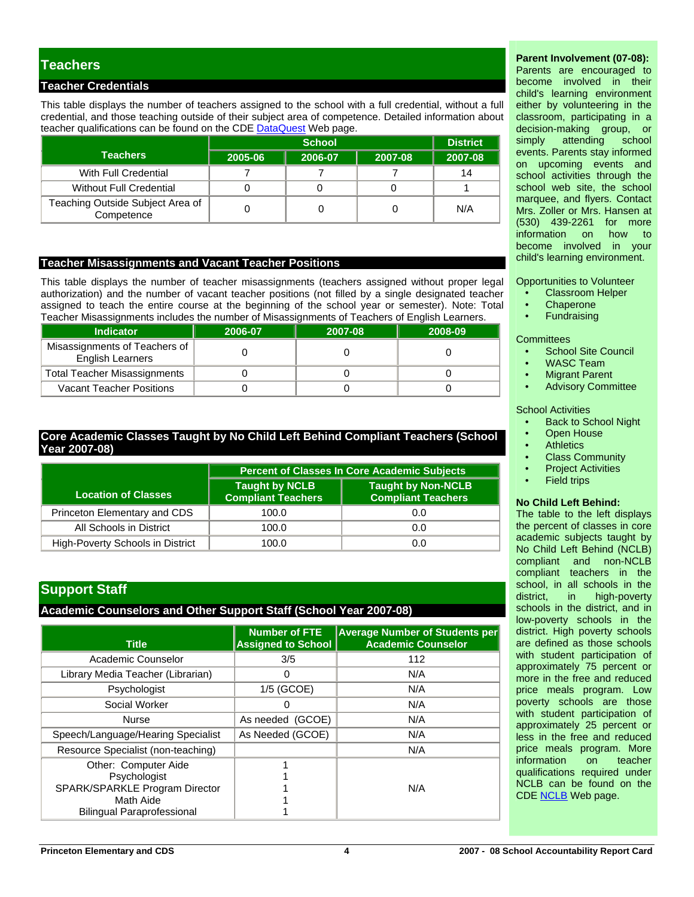# **Teachers**

## **Teacher Credentials**

This table displays the number of teachers assigned to the school with a full credential, without a full credential, and those teaching outside of their subject area of competence. Detailed information about teacher qualifications can be found on the CDE [DataQuest](http://dq.cde.ca.gov/dataquest/) Web page.

|                                                |         | <b>District</b> |         |         |
|------------------------------------------------|---------|-----------------|---------|---------|
| <b>Teachers</b>                                | 2005-06 | 2006-07         | 2007-08 | 2007-08 |
| With Full Credential                           |         |                 |         | 14      |
| Without Full Credential                        |         |                 |         |         |
| Teaching Outside Subject Area of<br>Competence |         |                 |         | N/A     |

#### **Teacher Misassignments and Vacant Teacher Positions**

This table displays the number of teacher misassignments (teachers assigned without proper legal authorization) and the number of vacant teacher positions (not filled by a single designated teacher assigned to teach the entire course at the beginning of the school year or semester). Note: Total Teacher Misassignments includes the number of Misassignments of Teachers of English Learners.

|                  |                                                          | I capitor microcolighthoma included the hamper of microcolighthomas or i capitole or English Ecample. |         |         |  |  |  |  |
|------------------|----------------------------------------------------------|-------------------------------------------------------------------------------------------------------|---------|---------|--|--|--|--|
| <b>Indicator</b> |                                                          | 2006-07                                                                                               | 2007-08 | 2008-09 |  |  |  |  |
|                  | Misassignments of Teachers of<br><b>English Learners</b> |                                                                                                       |         |         |  |  |  |  |
|                  | <b>Total Teacher Misassignments</b>                      |                                                                                                       |         |         |  |  |  |  |
|                  | <b>Vacant Teacher Positions</b>                          |                                                                                                       |         |         |  |  |  |  |

# **Core Academic Classes Taught by No Child Left Behind Compliant Teachers (School Year 2007-08)**

|                                  | <b>Percent of Classes In Core Academic Subjects</b> |                                                        |  |  |  |
|----------------------------------|-----------------------------------------------------|--------------------------------------------------------|--|--|--|
| <b>Location of Classes</b>       | <b>Taught by NCLB</b><br><b>Compliant Teachers</b>  | <b>Taught by Non-NCLB</b><br><b>Compliant Teachers</b> |  |  |  |
| Princeton Elementary and CDS     | 100.0                                               | 0.0                                                    |  |  |  |
| All Schools in District          | 100.0                                               | 0.0                                                    |  |  |  |
| High-Poverty Schools in District | 100.0                                               | 0.0                                                    |  |  |  |

# **Support Staff**

#### **Academic Counselors and Other Support Staff (School Year 2007-08)**

| <b>Title</b>                                                                        | <b>Number of FTE</b><br><b>Assigned to School</b> | <b>Average Number of Students per</b><br><b>Academic Counselor</b> |
|-------------------------------------------------------------------------------------|---------------------------------------------------|--------------------------------------------------------------------|
| Academic Counselor                                                                  | 3/5                                               | 112                                                                |
| Library Media Teacher (Librarian)                                                   | 0                                                 | N/A                                                                |
| Psychologist                                                                        | 1/5 (GCOE)                                        | N/A                                                                |
| Social Worker                                                                       | 0                                                 | N/A                                                                |
| <b>Nurse</b>                                                                        | As needed (GCOE)                                  | N/A                                                                |
| Speech/Language/Hearing Specialist                                                  | As Needed (GCOE)                                  | N/A                                                                |
| Resource Specialist (non-teaching)                                                  |                                                   | N/A                                                                |
| Other: Computer Aide<br>Psychologist<br>SPARK/SPARKLE Program Director<br>Math Aide |                                                   | N/A                                                                |
| <b>Bilingual Paraprofessional</b>                                                   |                                                   |                                                                    |

# **Parent Involvement (07-08):**

Parents are encouraged to become involved in their child's learning environment either by volunteering in the classroom, participating in a decision-making group, or simply attending school events. Parents stay informed on upcoming events and school activities through the school web site, the school marquee, and flyers. Contact Mrs. Zoller or Mrs. Hansen at (530) 439-2261 for more information on become involved in your child's learning environment.

Opportunities to Volunteer

- Classroom Helper
- **Chaperone**
- **Fundraising**

**Committees** 

- School Site Council
- WASC Team
- **Migrant Parent**
- Advisory Committee

#### School Activities

- Back to School Night
- **Open House**
- **Athletics**
- Class Community
- **Project Activities**
- **Field trips**

#### **No Child Left Behind:**

The table to the left displays the percent of classes in core academic subjects taught by No Child Left Behind (NCLB) compliant and non-NCLB compliant teachers in the school, in all schools in the district, in high-poverty schools in the district, and in low-poverty schools in the district. High poverty schools are defined as those schools with student participation of approximately 75 percent or more in the free and reduced price meals program. Low poverty schools are those with student participation of approximately 25 percent or less in the free and reduced price meals program. More information on teacher qualifications required under NCLB can be found on the CDE [NCLB](http://www.cde.ca.gov/nclb/sr/tq/) Web page.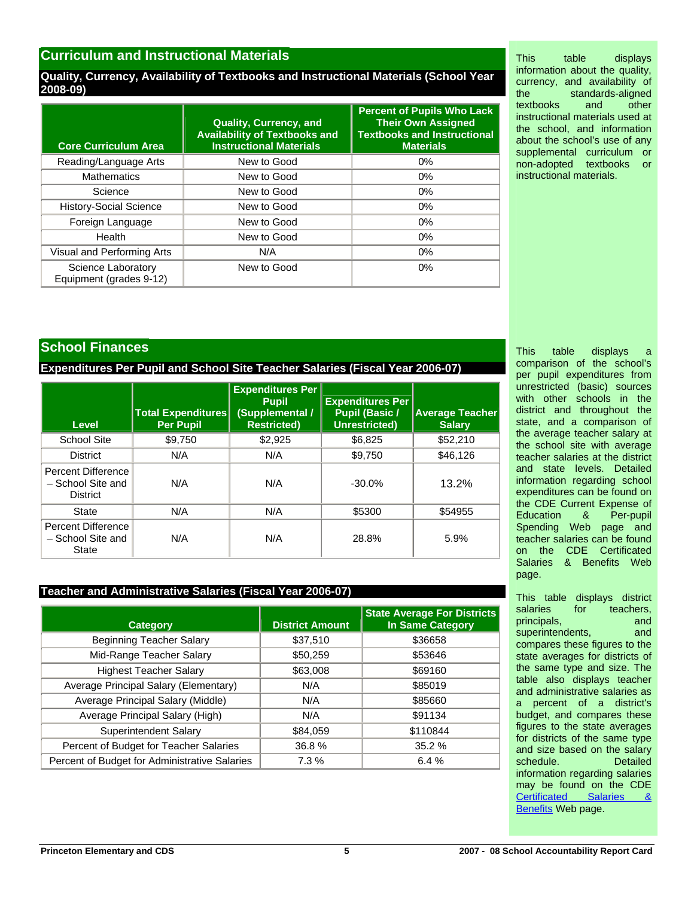# **Curriculum and Instructional Materials**

## **Quality, Currency, Availability of Textbooks and Instructional Materials (School Year 2008-09)**

| <b>Core Curriculum Area</b>                   | <b>Quality, Currency, and</b><br><b>Availability of Textbooks and</b><br><b>Instructional Materials</b> | <b>Percent of Pupils Who Lack</b><br><b>Their Own Assigned</b><br><b>Textbooks and Instructional</b><br><b>Materials</b> |
|-----------------------------------------------|---------------------------------------------------------------------------------------------------------|--------------------------------------------------------------------------------------------------------------------------|
| Reading/Language Arts                         | New to Good                                                                                             | $0\%$                                                                                                                    |
| <b>Mathematics</b>                            | New to Good                                                                                             | $0\%$                                                                                                                    |
| Science                                       | New to Good                                                                                             | $0\%$                                                                                                                    |
| <b>History-Social Science</b>                 | New to Good                                                                                             | $0\%$                                                                                                                    |
| Foreign Language                              | New to Good                                                                                             | $0\%$                                                                                                                    |
| Health                                        | New to Good                                                                                             | $0\%$                                                                                                                    |
| Visual and Performing Arts                    | N/A                                                                                                     | $0\%$                                                                                                                    |
| Science Laboratory<br>Equipment (grades 9-12) | New to Good                                                                                             | $0\%$                                                                                                                    |

This table displays information about the quality, currency, and availability of the standards-aligned<br>textbooks and other textbooks and other instructional materials used at the school, and information about the school's use of any supplemental curriculum or non-adopted textbooks or instructional materials.

# **School Finances**

**Expenditures Per Pupil and School Site Teacher Salaries (Fiscal Year 2006-07)** 

| Level                                                      | <b>Total Expenditures</b><br><b>Per Pupil</b> | <b>Expenditures Per</b><br><b>Pupil</b><br>/ Supplemental)<br><b>Restricted)</b> | <b>Expenditures Per</b><br><b>Pupil (Basic /</b><br>Unrestricted) | <b>Average Teacher</b><br><b>Salary</b> |
|------------------------------------------------------------|-----------------------------------------------|----------------------------------------------------------------------------------|-------------------------------------------------------------------|-----------------------------------------|
| <b>School Site</b>                                         | \$9.750                                       | \$2.925                                                                          | \$6,825                                                           | \$52,210                                |
| <b>District</b>                                            | N/A                                           | N/A                                                                              | \$9,750                                                           | \$46,126                                |
| Percent Difference<br>- School Site and<br><b>District</b> | N/A                                           | N/A                                                                              | $-30.0\%$                                                         | 13.2%                                   |
| <b>State</b>                                               | N/A                                           | N/A                                                                              | \$5300                                                            | \$54955                                 |
| Percent Difference<br>- School Site and<br>State           | N/A                                           | N/A                                                                              | 28.8%                                                             | 5.9%                                    |

# **Teacher and Administrative Salaries (Fiscal Year 2006-07)**

| <b>Category</b>                               | <b>District Amount</b> | <b>State Average For Districts</b><br><b>In Same Category</b> |
|-----------------------------------------------|------------------------|---------------------------------------------------------------|
| <b>Beginning Teacher Salary</b>               | \$37,510               | \$36658                                                       |
| Mid-Range Teacher Salary                      | \$50,259               | \$53646                                                       |
| <b>Highest Teacher Salary</b>                 | \$63,008               | \$69160                                                       |
| Average Principal Salary (Elementary)         | N/A                    | \$85019                                                       |
| Average Principal Salary (Middle)             | N/A                    | \$85660                                                       |
| Average Principal Salary (High)               | N/A                    | \$91134                                                       |
| <b>Superintendent Salary</b>                  | \$84,059               | \$110844                                                      |
| Percent of Budget for Teacher Salaries        | 36.8%                  | 35.2%                                                         |
| Percent of Budget for Administrative Salaries | 7.3 %                  | 6.4%                                                          |

This table displays a comparison of the school's per pupil expenditures from unrestricted (basic) sources with other schools in the district and throughout the state, and a comparison of the average teacher salary at the school site with average teacher salaries at the district and state levels. Detailed information regarding school expenditures can be found on the CDE Current Expense of Education & Per-pupil Spending Web page and teacher salaries can be found on the CDE Certificated Salaries & Benefits Web page.

This table displays district salaries for teachers, principals, and and superintendents, and compares these figures to the state averages for districts of the same type and size. The table also displays teacher and administrative salaries as a percent of a district's budget, and compares these figures to the state averages for districts of the same type and size based on the salary schedule. Detailed information regarding salaries may be found on the CDE [Certificated Salaries &](http://www.cde.ca.gov/ds/fd/cs/)  [Benefits](http://www.cde.ca.gov/ds/fd/cs/) Web page.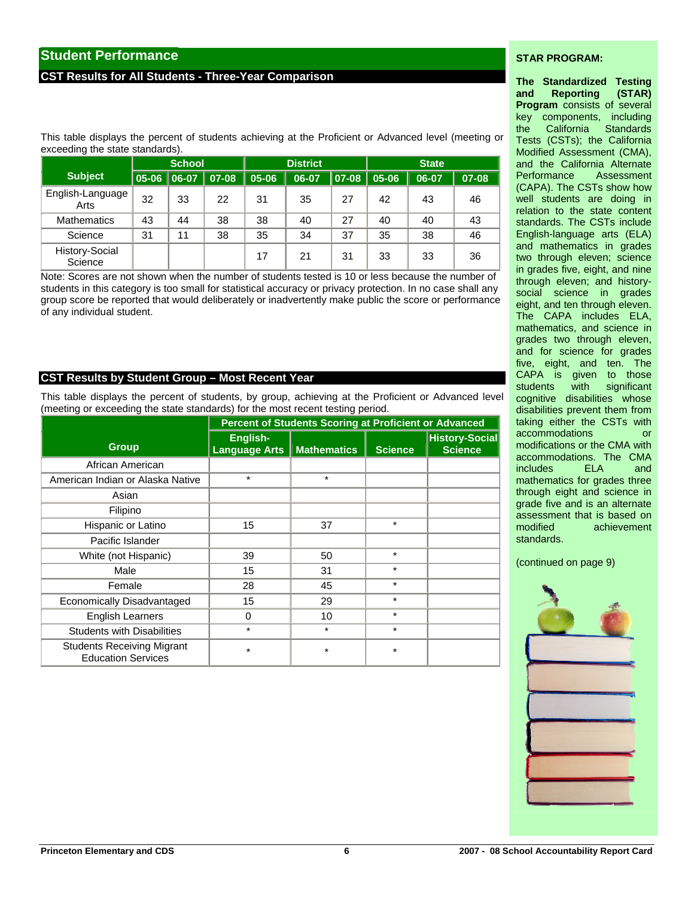# **Student Performance**

## **CST Results for All Students - Three-Year Comparison**

#### **STAR PROGRAM:**

This table displays the percent of students achieving at the Proficient or Advanced level (meeting or exceeding the state standards).

|                           |       | <b>School</b> |       |           | <b>District</b> |       |       | <b>State</b> |       |  |
|---------------------------|-------|---------------|-------|-----------|-----------------|-------|-------|--------------|-------|--|
| <b>Subject</b>            | 05-06 | $ 06-07 $     | 07-08 | $05 - 06$ | 06-07           | 07-08 | 05-06 | 06-07        | 07-08 |  |
| English-Language<br>Arts  | 32    | 33            | 22    | 31        | 35              | 27    | 42    | 43           | 46    |  |
| <b>Mathematics</b>        | 43    | 44            | 38    | 38        | 40              | 27    | 40    | 40           | 43    |  |
| Science                   | 31    | 11            | 38    | 35        | 34              | 37    | 35    | 38           | 46    |  |
| History-Social<br>Science |       |               |       | 17        | 21              | 31    | 33    | 33           | 36    |  |

Note: Scores are not shown when the number of students tested is 10 or less because the number of students in this category is too small for statistical accuracy or privacy protection. In no case shall any group score be reported that would deliberately or inadvertently make public the score or performance of any individual student.

#### **CST Results by Student Group – Most Recent Year**

This table displays the percent of students, by group, achieving at the Proficient or Advanced level (meeting or exceeding the state standards) for the most recent testing period.

|                                                                | <b>Percent of Students Scoring at Proficient or Advanced</b> |                    |                |                                         |  |  |  |
|----------------------------------------------------------------|--------------------------------------------------------------|--------------------|----------------|-----------------------------------------|--|--|--|
| <b>Group</b>                                                   | English-<br><b>Language Arts</b>                             | <b>Mathematics</b> | <b>Science</b> | <b>History-Social</b><br><b>Science</b> |  |  |  |
| African American                                               |                                                              |                    |                |                                         |  |  |  |
| American Indian or Alaska Native                               | $\star$                                                      | $\star$            |                |                                         |  |  |  |
| Asian                                                          |                                                              |                    |                |                                         |  |  |  |
| Filipino                                                       |                                                              |                    |                |                                         |  |  |  |
| Hispanic or Latino                                             | 15                                                           | 37                 | $\star$        |                                         |  |  |  |
| Pacific Islander                                               |                                                              |                    |                |                                         |  |  |  |
| White (not Hispanic)                                           | 39                                                           | 50                 | $\star$        |                                         |  |  |  |
| Male                                                           | 15                                                           | 31                 | $\star$        |                                         |  |  |  |
| Female                                                         | 28                                                           | 45                 | $\star$        |                                         |  |  |  |
| Economically Disadvantaged                                     | 15                                                           | 29                 | $\star$        |                                         |  |  |  |
| <b>English Learners</b>                                        | 0                                                            | 10                 | $\star$        |                                         |  |  |  |
| <b>Students with Disabilities</b>                              | $\star$                                                      | $^\star$           | $\star$        |                                         |  |  |  |
| <b>Students Receiving Migrant</b><br><b>Education Services</b> | $\star$                                                      | *                  | $\star$        |                                         |  |  |  |

#### **The Standardized Testing and Reporting (STAR) Program** consists of several key components, including the California Standards Tests (CSTs); the California Modified Assessment (CMA), and the California Alternate Performance Assessment (CAPA). The CSTs show how well students are doing in relation to the state content standards. The CSTs include English-language arts (ELA) and mathematics in grades two through eleven; science in grades five, eight, and nine through eleven; and historysocial science in grades eight, and ten through eleven. The CAPA includes ELA, mathematics, and science in grades two through eleven, and for science for grades five, eight, and ten. The CAPA is given to those students with significant cognitive disabilities whose disabilities prevent them from taking either the CSTs with accommodations or modifications or the CMA with accommodations. The CMA includes ELA and mathematics for grades three through eight and science in grade five and is an alternate assessment that is based on modified achievement standards.

(continued on page 9)

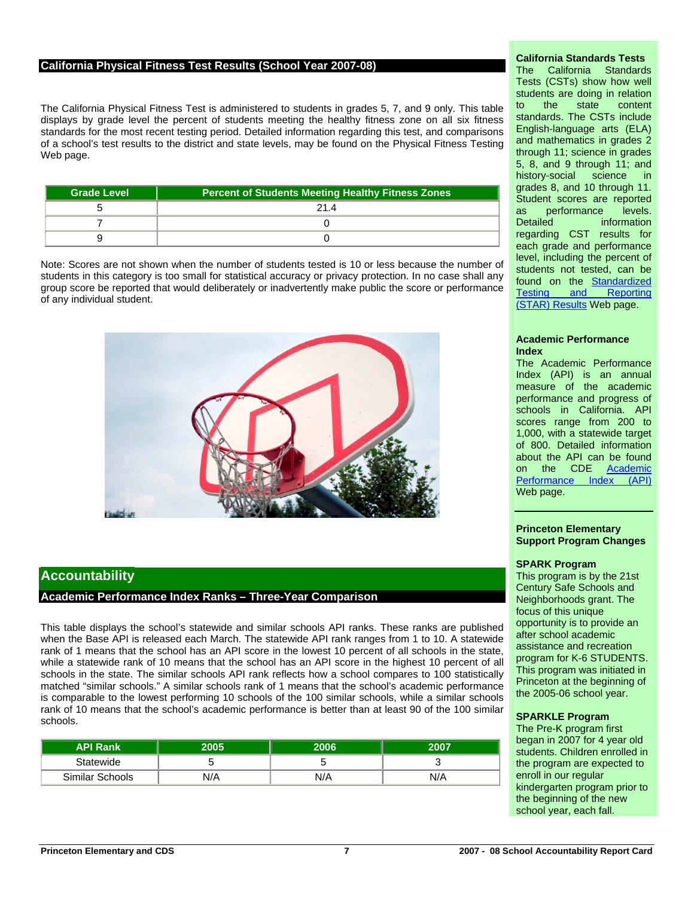## **California Physical Fitness Test Results (School Year 2007-08)**

The California Physical Fitness Test is administered to students in grades 5, 7, and 9 only. This table displays by grade level the percent of students meeting the healthy fitness zone on all six fitness standards for the most recent testing period. Detailed information regarding this test, and comparisons of a school's test results to the district and state levels, may be found on the Physical Fitness Testing Web page.

| <b>Grade Level</b> | Percent of Students Meeting Healthy Fitness Zones |
|--------------------|---------------------------------------------------|
|                    | 21 4                                              |
|                    |                                                   |
|                    |                                                   |

Note: Scores are not shown when the number of students tested is 10 or less because the number of students in this category is too small for statistical accuracy or privacy protection. In no case shall any group score be reported that would deliberately or inadvertently make public the score or performance of any individual student.



## **Accountability**

#### **Academic Performance Index Ranks – Three-Year Comparison**

This table displays the school's statewide and similar schools API ranks. These ranks are published when the Base API is released each March. The statewide API rank ranges from 1 to 10. A statewide rank of 1 means that the school has an API score in the lowest 10 percent of all schools in the state, while a statewide rank of 10 means that the school has an API score in the highest 10 percent of all schools in the state. The similar schools API rank reflects how a school compares to 100 statistically matched "similar schools." A similar schools rank of 1 means that the school's academic performance is comparable to the lowest performing 10 schools of the 100 similar schools, while a similar schools rank of 10 means that the school's academic performance is better than at least 90 of the 100 similar schools.

| <b>API Rank</b> | 2005. | 2006 | 2007 |
|-----------------|-------|------|------|
| Statewide       |       |      |      |
| Similar Schools | N/A   | N/A  | N/A  |

## **California Standards Tests**

The California Standards Tests (CSTs) show how well students are doing in relation to the state content standards. The CSTs include English-language arts (ELA) and mathematics in grades 2 through 11; science in grades 5, 8, and 9 through 11; and history-social science in grades 8, and 10 through 11. Student scores are reported as performance levels. Detailed **information** regarding CST results for each grade and performance level, including the percent of students not tested, can be found on the [Standardized](http://star.cde.ca.gov/)  [Testing and Reporting](http://star.cde.ca.gov/)  [\(STAR\) Results](http://star.cde.ca.gov/) Web page.

#### **Academic Performance Index**

The Academic Performance Index (API) is an annual measure of the academic performance and progress of schools in California. API scores range from 200 to 1,000, with a statewide target of 800. Detailed information about the API can be found on the CDE [Academic](http://www.cde.ca.gov/ta/ac/ap/)  [Performance Index \(API\)](http://www.cde.ca.gov/ta/ac/ap/) Web page.

#### **Princeton Elementary Support Program Changes**

#### **SPARK Program**

This program is by the 21st Century Safe Schools and Neighborhoods grant. The focus of this unique opportunity is to provide an after school academic assistance and recreation program for K-6 STUDENTS. This program was initiated in Princeton at the beginning of the 2005-06 school year.

#### **SPARKLE Program**

The Pre-K program first began in 2007 for 4 year old students. Children enrolled in the program are expected to enroll in our regular kindergarten program prior to the beginning of the new school year, each fall.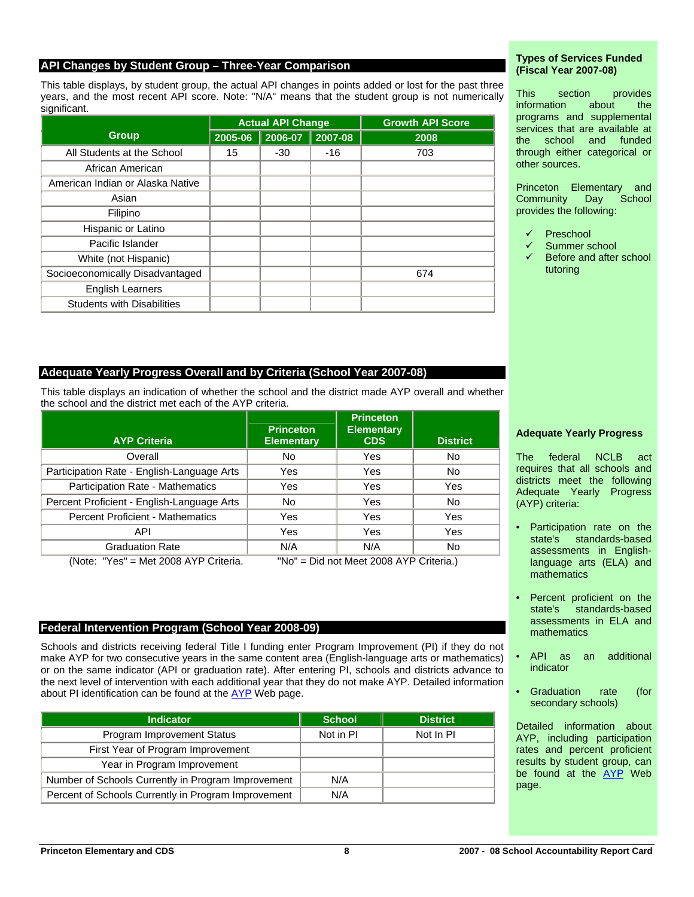## **API Changes by Student Group – Three-Year Comparison**

This table displays, by student group, the actual API changes in points added or lost for the past three years, and the most recent API score. Note: "N/A" means that the student group is not numerically significant.

|                                   | <b>Actual API Change</b> |         |         | <b>Growth API Score</b> |
|-----------------------------------|--------------------------|---------|---------|-------------------------|
| <b>Group</b>                      | 2005-06                  | 2006-07 | 2007-08 | 2008                    |
| All Students at the School        | 15                       | $-30$   | $-16$   | 703                     |
| African American                  |                          |         |         |                         |
| American Indian or Alaska Native  |                          |         |         |                         |
| Asian                             |                          |         |         |                         |
| Filipino                          |                          |         |         |                         |
| Hispanic or Latino                |                          |         |         |                         |
| Pacific Islander                  |                          |         |         |                         |
| White (not Hispanic)              |                          |         |         |                         |
| Socioeconomically Disadvantaged   |                          |         |         | 674                     |
| <b>English Learners</b>           |                          |         |         |                         |
| <b>Students with Disabilities</b> |                          |         |         |                         |

# **Adequate Yearly Progress Overall and by Criteria (School Year 2007-08)**

This table displays an indication of whether the school and the district made AYP overall and whether the school and the district met each of the AYP criteria.

| <b>AYP Criteria</b>                        | <b>Princeton</b><br><b>Elementary</b> | <b>Princeton</b><br><b>Elementary</b><br><b>CDS</b> | <b>District</b> |
|--------------------------------------------|---------------------------------------|-----------------------------------------------------|-----------------|
| Overall                                    | <b>No</b>                             | Yes                                                 | No              |
| Participation Rate - English-Language Arts | Yes                                   | Yes                                                 | <b>No</b>       |
| Participation Rate - Mathematics           | Yes                                   | Yes                                                 | Yes             |
| Percent Proficient - English-Language Arts | <b>No</b>                             | Yes                                                 | <b>No</b>       |
| <b>Percent Proficient - Mathematics</b>    | Yes                                   | Yes                                                 | Yes             |
| API                                        | Yes                                   | Yes                                                 | Yes             |
| <b>Graduation Rate</b>                     | N/A                                   | N/A                                                 | No              |

(Note: "Yes" = Met 2008 AYP Criteria. "No" = Did not Meet 2008 AYP Criteria.)

## **Federal Intervention Program (School Year 2008-09)**

Schools and districts receiving federal Title I funding enter Program Improvement (PI) if they do not make AYP for two consecutive years in the same content area (English-language arts or mathematics) or on the same indicator (API or graduation rate). After entering PI, schools and districts advance to the next level of intervention with each additional year that they do not make AYP. Detailed information about PI identification can be found at the [AYP](http://www.cde.ca.gov/ta/ac/ay/) Web page.

| <b>Indicator</b>                                    | <b>School</b> | <b>District</b> |
|-----------------------------------------------------|---------------|-----------------|
| Program Improvement Status                          | Not in PI     | Not In PI       |
| First Year of Program Improvement                   |               |                 |
| Year in Program Improvement                         |               |                 |
| Number of Schools Currently in Program Improvement  | N/A           |                 |
| Percent of Schools Currently in Program Improvement | N/A           |                 |

#### **Types of Services Funded (Fiscal Year 2007-08)**

This section provides information about the programs and supplemental services that are available at the school and funded through either categorical or other sources.

Princeton Elementary and<br>Community Day School Community Day School provides the following:

- **Preschool**
- Summer school
- Before and after school tutoring

#### **Adequate Yearly Progress**

The federal NCLB act requires that all schools and districts meet the following Adequate Yearly Progress (AYP) criteria:

- Participation rate on the state's standards-based assessments in Englishlanguage arts (ELA) and mathematics
- Percent proficient on the state's standards-based assessments in ELA and mathematics
- API as an additional indicator
- Graduation rate (for secondary schools)

Detailed information about AYP, including participation rates and percent proficient results by student group, can be found at the [AYP](http://www.cde.ca.gov/ta/ac/ay/) Web page.